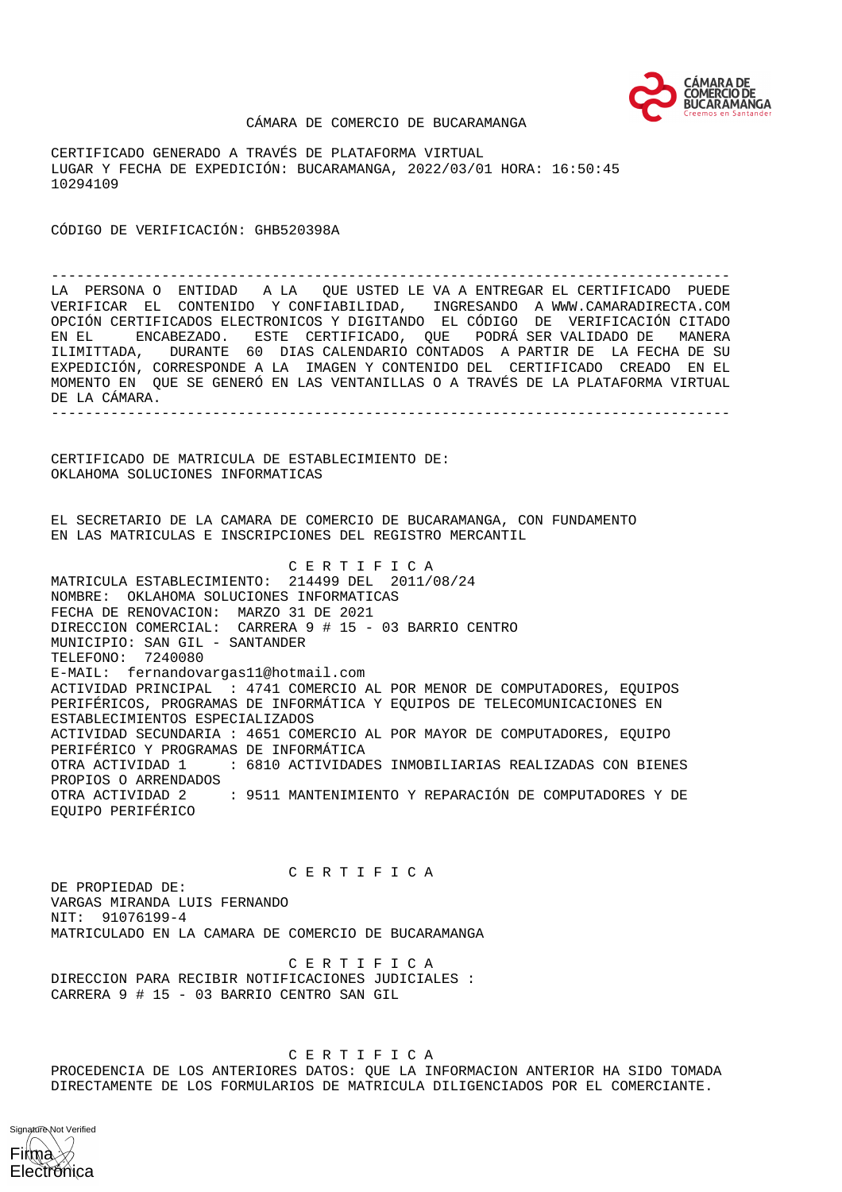

## CÁMARA DE COMERCIO DE BUCARAMANGA

CERTIFICADO GENERADO A TRAVÉS DE PLATAFORMA VIRTUAL LUGAR Y FECHA DE EXPEDICIÓN: BUCARAMANGA, 2022/03/01 HORA: 16:50:45 10294109

CÓDIGO DE VERIFICACIÓN: GHB520398A

-------------------------------------------------------------------------------- LA PERSONA O ENTIDAD A LA QUE USTED LE VA A ENTREGAR EL CERTIFICADO PUEDE VERIFICAR EL CONTENIDO Y CONFIABILIDAD, INGRESANDO A WWW.CAMARADIRECTA.COM OPCIÓN CERTIFICADOS ELECTRONICOS Y DIGITANDO EL CÓDIGO DE VERIFICACIÓN CITADO EN EL ENCABEZADO. ESTE CERTIFICADO, QUE PODRÁ SER VALIDADO DE MANERA ILIMITTADA, DURANTE 60 DIAS CALENDARIO CONTADOS A PARTIR DE LA FECHA DE SU EXPEDICIÓN, CORRESPONDE A LA IMAGEN Y CONTENIDO DEL CERTIFICADO CREADO EN EL MOMENTO EN QUE SE GENERÓ EN LAS VENTANILLAS O A TRAVÉS DE LA PLATAFORMA VIRTUAL DE LA CÁMARA. --------------------------------------------------------------------------------

CERTIFICADO DE MATRICULA DE ESTABLECIMIENTO DE: OKLAHOMA SOLUCIONES INFORMATICAS

EL SECRETARIO DE LA CAMARA DE COMERCIO DE BUCARAMANGA, CON FUNDAMENTO EN LAS MATRICULAS E INSCRIPCIONES DEL REGISTRO MERCANTIL

 C E R T I F I C A MATRICULA ESTABLECIMIENTO: 214499 DEL 2011/08/24 NOMBRE: OKLAHOMA SOLUCIONES INFORMATICAS FECHA DE RENOVACION: MARZO 31 DE 2021 DIRECCION COMERCIAL: CARRERA 9 # 15 - 03 BARRIO CENTRO MUNICIPIO: SAN GIL - SANTANDER TELEFONO: 7240080 E-MAIL: fernandovargas11@hotmail.com ACTIVIDAD PRINCIPAL : 4741 COMERCIO AL POR MENOR DE COMPUTADORES, EQUIPOS PERIFÉRICOS, PROGRAMAS DE INFORMÁTICA Y EQUIPOS DE TELECOMUNICACIONES EN ESTABLECIMIENTOS ESPECIALIZADOS ACTIVIDAD SECUNDARIA : 4651 COMERCIO AL POR MAYOR DE COMPUTADORES, EQUIPO PERIFÉRICO Y PROGRAMAS DE INFORMÁTICA OTRA ACTIVIDAD 1 : 6810 ACTIVIDADES INMOBILIARIAS REALIZADAS CON BIENES PROPIOS O ARRENDADOS OTRA ACTIVIDAD 2 : 9511 MANTENIMIENTO Y REPARACIÓN DE COMPUTADORES Y DE EQUIPO PERIFÉRICO

 C E R T I F I C A DE PROPIEDAD DE: VARGAS MIRANDA LUIS FERNANDO NIT: 91076199-4 MATRICULADO EN LA CAMARA DE COMERCIO DE BUCARAMANGA

 C E R T I F I C A DIRECCION PARA RECIBIR NOTIFICACIONES JUDICIALES : CARRERA 9 # 15 - 03 BARRIO CENTRO SAN GIL

 C E R T I F I C A PROCEDENCIA DE LOS ANTERIORES DATOS: QUE LA INFORMACION ANTERIOR HA SIDO TOMADA DIRECTAMENTE DE LOS FORMULARIOS DE MATRICULA DILIGENCIADOS POR EL COMERCIANTE.